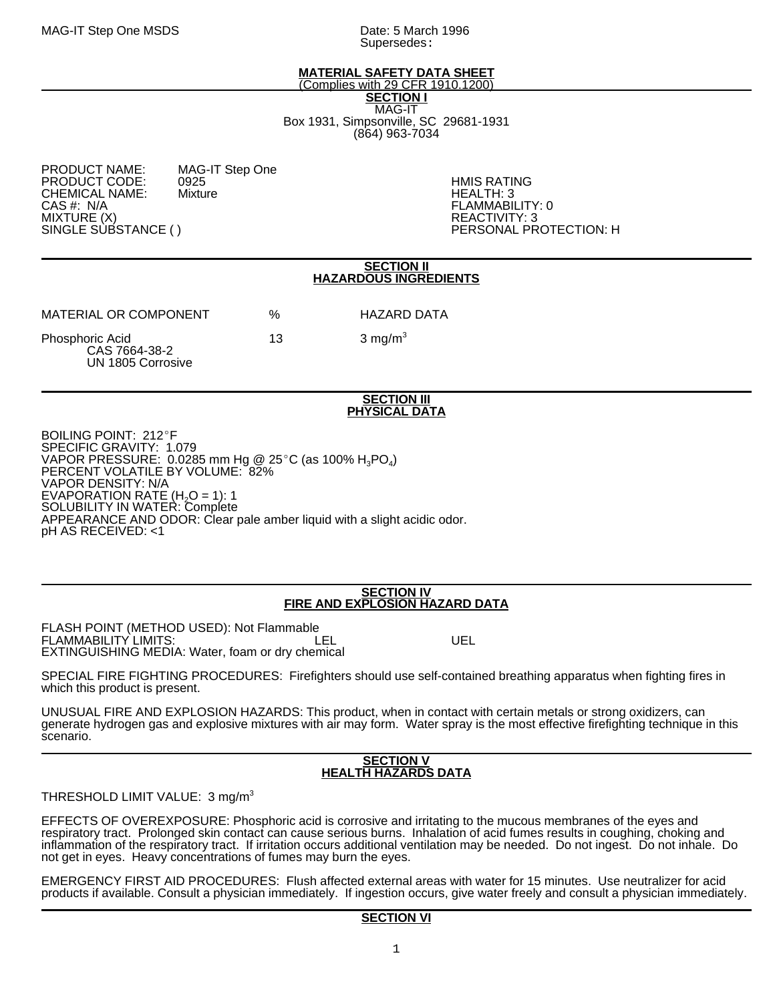Supersedes:

## **MATERIAL SAFETY DATA SHEET**

(Complies with 29 CFR 1910.1200) **SECTION I** MAG-IT

Box 1931, Simpsonville, SC 29681-1931 (864) 963-7034

| MAG-IT Step One |
|-----------------|
| 0925            |
| Mixture         |
|                 |
|                 |
|                 |
|                 |

**HMIS RATING** HEALTH: 3 FLAMMABILITY: 0 REACTIVITY: 3 PERSONAL PROTECTION: H

### **SECTION II HAZARDOUS INGREDIENTS**

| MATERIAL OR COMPONENT                                 | %  | HAZARD DATA        |
|-------------------------------------------------------|----|--------------------|
| Phosphoric Acid<br>CAS 7664-38-2<br>UN 1805 Corrosive | 13 | $3 \text{ mg/m}^3$ |

### **SECTION III PHYSICAL DATA**

BOILING POINT: 212°F SPECIFIC GRAVITY: 1.079 VAPOR PRESSURE: 0.0285 mm Hg @ 25°C (as 100% H<sub>3</sub>PO<sub>4</sub>)<br>PERCENT VOLATILE BY VOLUME: 82% VAPOR DENSITY: N/A EVAPORATION RATE (H<sub>2</sub>O = 1): 1<br>SOLUBILITY IN WATER: Complete APPEARANCE AND ODOR: Clear pale amber liquid with a slight acidic odor. pH AS RECEIVED: <1

### **SECTION IV FIRE AND EXPLOSION HAZARD DATA**

FLASH POINT (METHOD USED): Not Flammable FLAMMABILITY LIMITS: LEL UEL EXTINGUISHING MEDIA: Water, foam or dry chemical

SPECIAL FIRE FIGHTING PROCEDURES: Firefighters should use self-contained breathing apparatus when fighting fires in which this product is present.

UNUSUAL FIRE AND EXPLOSION HAZARDS: This product, when in contact with certain metals or strong oxidizers, can generate hydrogen gas and explosive mixtures with air may form. Water spray is the most effective firefighting technique in this scenario.

## **SECTION V HEALTH HAZARDS DATA**

THRESHOLD LIMIT VALUE: 3 mg/m<sup>3</sup>

EFFECTS OF OVEREXPOSURE: Phosphoric acid is corrosive and irritating to the mucous membranes of the eyes and respiratory tract. Prolonged skin contact can cause serious burns. Inhalation of acid fumes results in coughing, choking and inflammation of the respiratory tract. If irritation occurs additional ventilation may be needed. Do not ingest. Do not inhale. Do not get in eyes. Heavy concentrations of fumes may burn the eyes.

EMERGENCY FIRST AID PROCEDURES: Flush affected external areas with water for 15 minutes. Use neutralizer for acid products if available. Consult a physician immediately. If ingestion occurs, give water freely and consult a physician immediately.

# **SECTION VI**